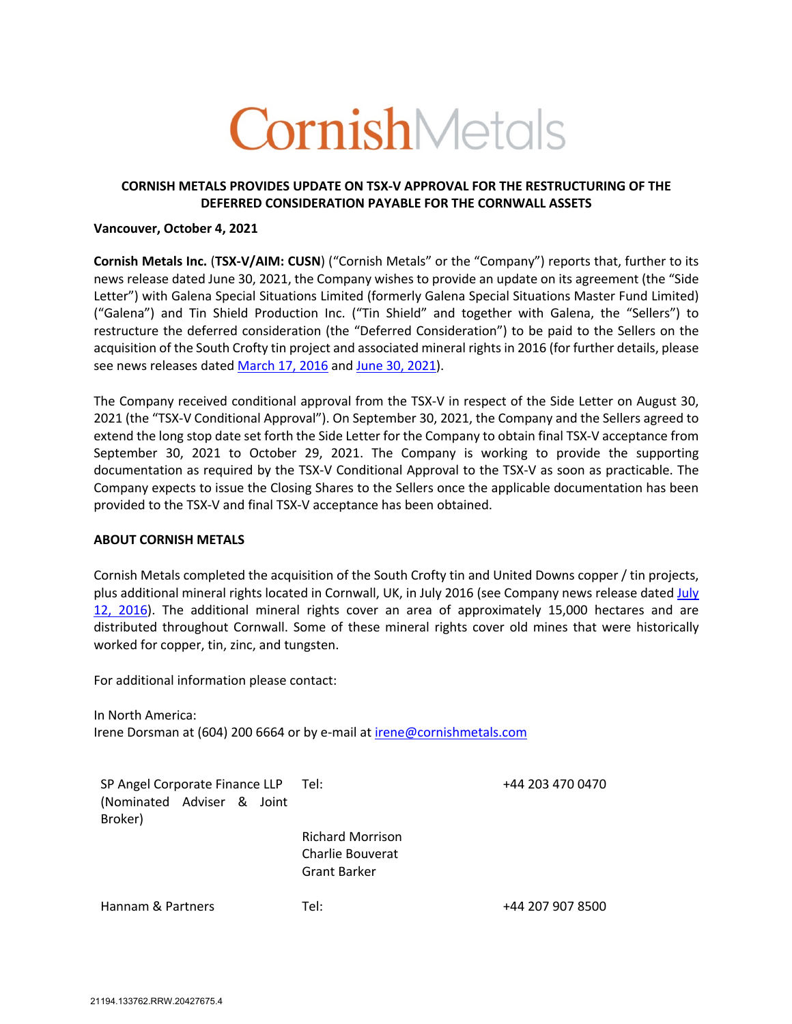# CornishMetals

## **CORNISH METALS PROVIDES UPDATE ON TSX-V APPROVAL FOR THE RESTRUCTURING OF THE DEFERRED CONSIDERATION PAYABLE FOR THE CORNWALL ASSETS**

#### **Vancouver, October 4, 2021**

**Cornish Metals Inc.** (**TSX-V/AIM: CUSN**) ("Cornish Metals" or the "Company") reports that, further to its news release dated June 30, 2021, the Company wishes to provide an update on its agreement (the "Side Letter") with Galena Special Situations Limited (formerly Galena Special Situations Master Fund Limited) ("Galena") and Tin Shield Production Inc. ("Tin Shield" and together with Galena, the "Sellers") to restructure the deferred consideration (the "Deferred Consideration") to be paid to the Sellers on the acquisition of the South Crofty tin project and associated mineral rights in 2016 (for further details, please see news releases dated March 17, 2016 and June 30, 2021).

The Company received conditional approval from the TSX-V in respect of the Side Letter on August 30, 2021 (the "TSX-V Conditional Approval"). On September 30, 2021, the Company and the Sellers agreed to extend the long stop date set forth the Side Letter for the Company to obtain final TSX-V acceptance from September 30, 2021 to October 29, 2021. The Company is working to provide the supporting documentation as required by the TSX-V Conditional Approval to the TSX-V as soon as practicable. The Company expects to issue the Closing Shares to the Sellers once the applicable documentation has been provided to the TSX-V and final TSX-V acceptance has been obtained.

#### **ABOUT CORNISH METALS**

Cornish Metals completed the acquisition of the South Crofty tin and United Downs copper / tin projects, plus additional mineral rights located in Cornwall, UK, in July 2016 (see Company news release dated July 12, 2016). The additional mineral rights cover an area of approximately 15,000 hectares and are distributed throughout Cornwall. Some of these mineral rights cover old mines that were historically worked for copper, tin, zinc, and tungsten.

For additional information please contact:

In North America: Irene Dorsman at (604) 200 6664 or by e-mail at irene@cornishmetals.com

| SP Angel Corporate Finance LLP Tel:   |                                                                    | +44 203 470 0470 |
|---------------------------------------|--------------------------------------------------------------------|------------------|
| (Nominated Adviser & Joint<br>Broker) |                                                                    |                  |
|                                       | <b>Richard Morrison</b><br>Charlie Bouverat<br><b>Grant Barker</b> |                  |
| Hannam & Partners                     | Tel:                                                               | +44 207 907 8500 |